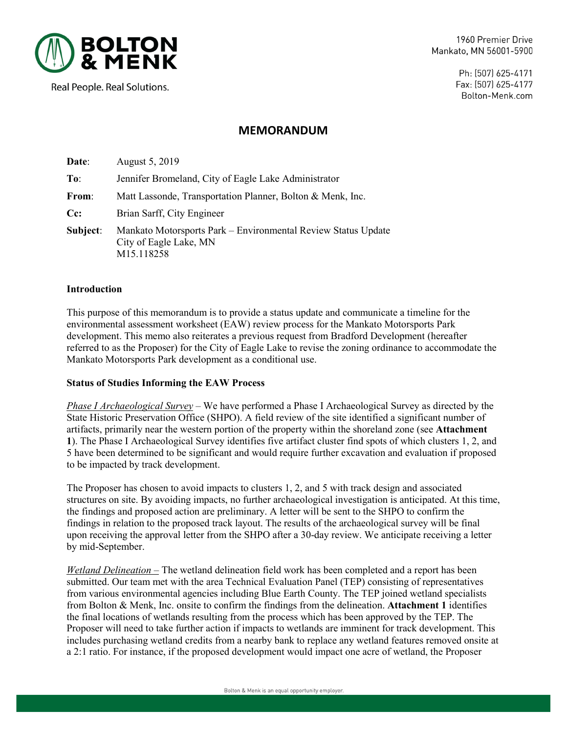

1960 Premier Drive Mankato, MN 56001-5900

Real People. Real Solutions.

Ph: (507) 625-4171 Fax: (507) 625-4177 Bolton-Menk.com

## **MEMORANDUM**

| Date:    | August 5, 2019                                                                                        |
|----------|-------------------------------------------------------------------------------------------------------|
| To:      | Jennifer Bromeland, City of Eagle Lake Administrator                                                  |
| From:    | Matt Lassonde, Transportation Planner, Bolton & Menk, Inc.                                            |
| $Cc$ :   | Brian Sarff, City Engineer                                                                            |
| Subject: | Mankato Motorsports Park – Environmental Review Status Update<br>City of Eagle Lake, MN<br>M15.118258 |

#### **Introduction**

This purpose of this memorandum is to provide a status update and communicate a timeline for the environmental assessment worksheet (EAW) review process for the Mankato Motorsports Park development. This memo also reiterates a previous request from Bradford Development (hereafter referred to as the Proposer) for the City of Eagle Lake to revise the zoning ordinance to accommodate the Mankato Motorsports Park development as a conditional use.

### **Status of Studies Informing the EAW Process**

*Phase I Archaeological Survey –* We have performed a Phase I Archaeological Survey as directed by the State Historic Preservation Office (SHPO). A field review of the site identified a significant number of artifacts, primarily near the western portion of the property within the shoreland zone (see **Attachment 1**). The Phase I Archaeological Survey identifies five artifact cluster find spots of which clusters 1, 2, and 5 have been determined to be significant and would require further excavation and evaluation if proposed to be impacted by track development.

The Proposer has chosen to avoid impacts to clusters 1, 2, and 5 with track design and associated structures on site. By avoiding impacts, no further archaeological investigation is anticipated. At this time, the findings and proposed action are preliminary. A letter will be sent to the SHPO to confirm the findings in relation to the proposed track layout. The results of the archaeological survey will be final upon receiving the approval letter from the SHPO after a 30-day review. We anticipate receiving a letter by mid-September.

*Wetland Delineation –* The wetland delineation field work has been completed and a report has been submitted. Our team met with the area Technical Evaluation Panel (TEP) consisting of representatives from various environmental agencies including Blue Earth County. The TEP joined wetland specialists from Bolton & Menk, Inc. onsite to confirm the findings from the delineation. **Attachment 1** identifies the final locations of wetlands resulting from the process which has been approved by the TEP. The Proposer will need to take further action if impacts to wetlands are imminent for track development. This includes purchasing wetland credits from a nearby bank to replace any wetland features removed onsite at a 2:1 ratio. For instance, if the proposed development would impact one acre of wetland, the Proposer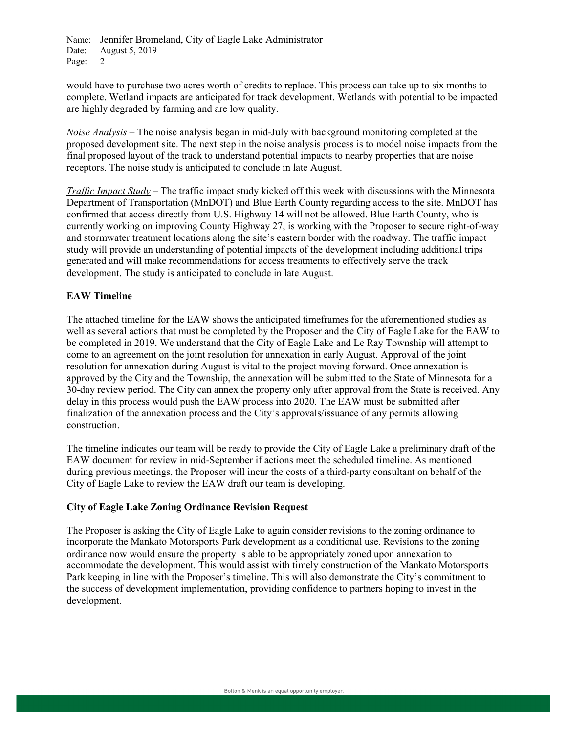Name: Jennifer Bromeland, City of Eagle Lake Administrator<br>Date: August 5, 2019 August 5, 2019 Page: 2

would have to purchase two acres worth of credits to replace. This process can take up to six months to complete. Wetland impacts are anticipated for track development. Wetlands with potential to be impacted are highly degraded by farming and are low quality.

*Noise Analysis –* The noise analysis began in mid-July with background monitoring completed at the proposed development site. The next step in the noise analysis process is to model noise impacts from the final proposed layout of the track to understand potential impacts to nearby properties that are noise receptors. The noise study is anticipated to conclude in late August.

*Traffic Impact Study* – The traffic impact study kicked off this week with discussions with the Minnesota Department of Transportation (MnDOT) and Blue Earth County regarding access to the site. MnDOT has confirmed that access directly from U.S. Highway 14 will not be allowed. Blue Earth County, who is currently working on improving County Highway 27, is working with the Proposer to secure right-of-way and stormwater treatment locations along the site's eastern border with the roadway. The traffic impact study will provide an understanding of potential impacts of the development including additional trips generated and will make recommendations for access treatments to effectively serve the track development. The study is anticipated to conclude in late August.

#### **EAW Timeline**

The attached timeline for the EAW shows the anticipated timeframes for the aforementioned studies as well as several actions that must be completed by the Proposer and the City of Eagle Lake for the EAW to be completed in 2019. We understand that the City of Eagle Lake and Le Ray Township will attempt to come to an agreement on the joint resolution for annexation in early August. Approval of the joint resolution for annexation during August is vital to the project moving forward. Once annexation is approved by the City and the Township, the annexation will be submitted to the State of Minnesota for a 30-day review period. The City can annex the property only after approval from the State is received. Any delay in this process would push the EAW process into 2020. The EAW must be submitted after finalization of the annexation process and the City's approvals/issuance of any permits allowing construction.

The timeline indicates our team will be ready to provide the City of Eagle Lake a preliminary draft of the EAW document for review in mid-September if actions meet the scheduled timeline. As mentioned during previous meetings, the Proposer will incur the costs of a third-party consultant on behalf of the City of Eagle Lake to review the EAW draft our team is developing.

## **City of Eagle Lake Zoning Ordinance Revision Request**

The Proposer is asking the City of Eagle Lake to again consider revisions to the zoning ordinance to incorporate the Mankato Motorsports Park development as a conditional use. Revisions to the zoning ordinance now would ensure the property is able to be appropriately zoned upon annexation to accommodate the development. This would assist with timely construction of the Mankato Motorsports Park keeping in line with the Proposer's timeline. This will also demonstrate the City's commitment to the success of development implementation, providing confidence to partners hoping to invest in the development.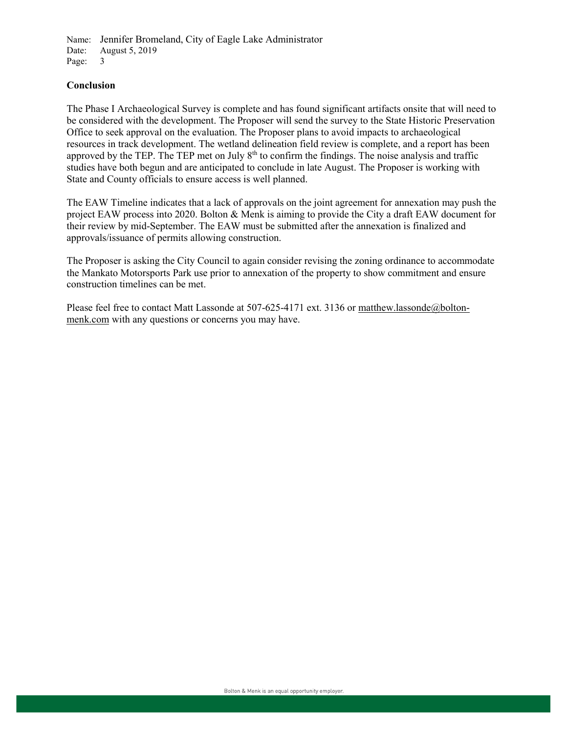Name: Jennifer Bromeland, City of Eagle Lake Administrator<br>Date: August 5, 2019 August 5, 2019 Page: 3

#### **Conclusion**

The Phase I Archaeological Survey is complete and has found significant artifacts onsite that will need to be considered with the development. The Proposer will send the survey to the State Historic Preservation Office to seek approval on the evaluation. The Proposer plans to avoid impacts to archaeological resources in track development. The wetland delineation field review is complete, and a report has been approved by the TEP. The TEP met on July  $8<sup>th</sup>$  to confirm the findings. The noise analysis and traffic studies have both begun and are anticipated to conclude in late August. The Proposer is working with State and County officials to ensure access is well planned.

The EAW Timeline indicates that a lack of approvals on the joint agreement for annexation may push the project EAW process into 2020. Bolton & Menk is aiming to provide the City a draft EAW document for their review by mid-September. The EAW must be submitted after the annexation is finalized and approvals/issuance of permits allowing construction.

The Proposer is asking the City Council to again consider revising the zoning ordinance to accommodate the Mankato Motorsports Park use prior to annexation of the property to show commitment and ensure construction timelines can be met.

Please feel free to contact Matt Lassonde at 507-625-4171 ext. 3136 or matthew.lassonde@boltonmenk.com with any questions or concerns you may have.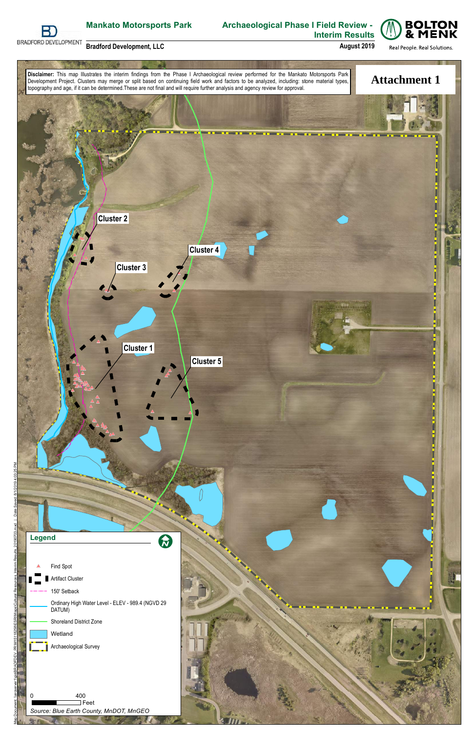

# **Archaeological Phase I Field Review - Interim Results**



**August 2019**





**Bradford Development, LLC**